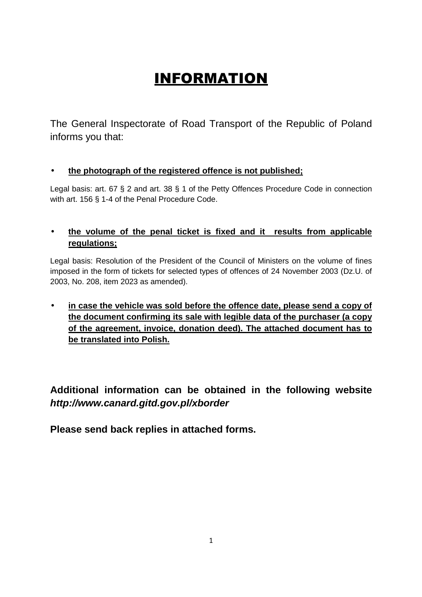## INFORMATION

The General Inspectorate of Road Transport of the Republic of Poland informs you that:

## • **the photograph of the registered offence is not published;**

Legal basis: art. 67 § 2 and art. 38 § 1 of the Petty Offences Procedure Code in connection with art. 156 § 1-4 of the Penal Procedure Code.

## • **the volume of the penal ticket is fixed and it results from applicable regulations;**

Legal basis: Resolution of the President of the Council of Ministers on the volume of fines imposed in the form of tickets for selected types of offences of 24 November 2003 (Dz.U. of 2003, No. 208, item 2023 as amended).

• **in case the vehicle was sold before the offence date, please send a copy of the document confirming its sale with legible data of the purchaser (a copy of the agreement, invoice, donation deed). The attached document has to be translated into Polish.** 

**Additional information can be obtained in the following website http://www.canard.gitd.gov.pl/xborder** 

**Please send back replies in attached forms.**